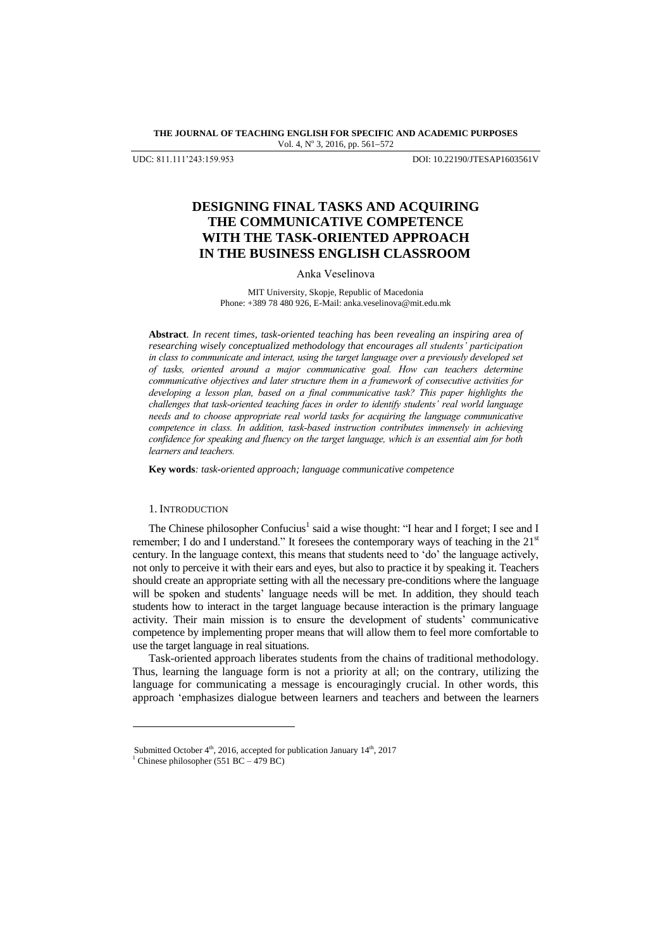**THE JOURNAL OF TEACHING ENGLISH FOR SPECIFIC AND ACADEMIC PURPOSES** Vol. 4, Nº 3, 2016, pp. 561-572

UDC: 811.111"243:159.953 DOI: 10.22190/JTESAP1603561V

# **DESIGNING FINAL TASKS AND ACQUIRING THE COMMUNICATIVE COMPETENCE WITH THE TASK-ORIENTED APPROACH IN THE BUSINESS ENGLISH CLASSROOM**

#### Anka Veselinova

MIT University, Skopje, Republic of Macedonia Phone: +389 78 480 926, E-Mail: [anka.veselinova@mit.edu.mk](mailto:anka.veselinova@mit.edu.mk)

**Abstract**. *In recent times, task-oriented teaching has been revealing an inspiring area of researching wisely conceptualized methodology that encourages all students' participation in class to communicate and interact, using the target language over a previously developed set of tasks, oriented around a major communicative goal. How can teachers determine communicative objectives and later structure them in a framework of consecutive activities for developing a lesson plan, based on a final communicative task? This paper highlights the challenges that task-oriented teaching faces in order to identify students' real world language needs and to choose appropriate real world tasks for acquiring the language communicative competence in class. In addition, task-based instruction contributes immensely in achieving confidence for speaking and fluency on the target language, which is an essential aim for both learners and teachers.*

**Key words***: task-oriented approach; language communicative competence*

#### 1. INTRODUCTION

The Chinese philosopher Confucius<sup>1</sup> said a wise thought: "I hear and I forget; I see and I remember; I do and I understand." It foresees the contemporary ways of teaching in the  $21<sup>st</sup>$ century. In the language context, this means that students need to "do" the language actively, not only to perceive it with their ears and eyes, but also to practice it by speaking it. Teachers should create an appropriate setting with all the necessary pre-conditions where the language will be spoken and students' language needs will be met. In addition, they should teach students how to interact in the target language because interaction is the primary language activity. Their main mission is to ensure the development of students" communicative competence by implementing proper means that will allow them to feel more comfortable to use the target language in real situations.

Task-oriented approach liberates students from the chains of traditional methodology. Thus, learning the language form is not a priority at all; on the contrary, utilizing the language for communicating a message is encouragingly crucial. In other words, this approach "emphasizes dialogue between learners and teachers and between the learners

l

Submitted October  $4^{\text{th}}$ , 2016, accepted for publication January  $14^{\text{th}}$ , 2017

<sup>&</sup>lt;sup>1</sup> Chinese philosopher (551 BC – 479 BC)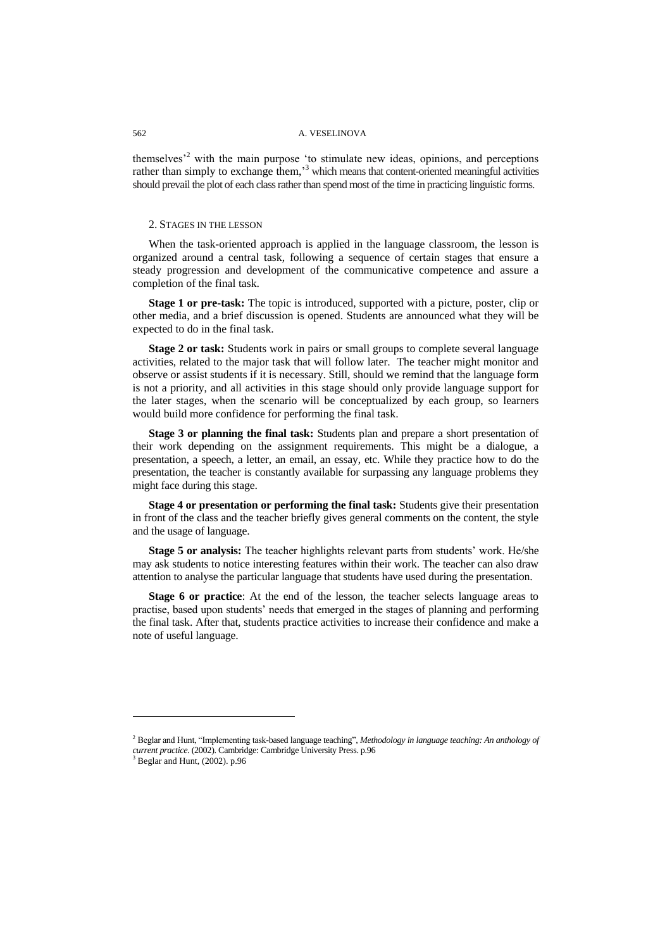themselves<sup> $2$ </sup> with the main purpose 'to stimulate new ideas, opinions, and perceptions rather than simply to exchange them,<sup>3</sup> which means that content-oriented meaningful activities should prevail the plot of each class rather than spend most of the time in practicing linguistic forms.

### 2. STAGES IN THE LESSON

When the task-oriented approach is applied in the language classroom, the lesson is organized around a central task, following a sequence of certain stages that ensure a steady progression and development of the communicative competence and assure a completion of the final task.

**Stage 1 or pre-task:** The topic is introduced, supported with a picture, poster, clip or other media, and a brief discussion is opened. Students are announced what they will be expected to do in the final task.

**Stage 2 or task:** Students work in pairs or small groups to complete several language activities, related to the major task that will follow later. The teacher might monitor and observe or assist students if it is necessary. Still, should we remind that the language form is not a priority, and all activities in this stage should only provide language support for the later stages, when the scenario will be conceptualized by each group, so learners would build more confidence for performing the final task.

**Stage 3 or planning the final task:** Students plan and prepare a short presentation of their work depending on the assignment requirements. This might be a dialogue, a presentation, a speech, a letter, an email, an essay, etc. While they practice how to do the presentation, the teacher is constantly available for surpassing any language problems they might face during this stage.

**Stage 4 or presentation or performing the final task:** Students give their presentation in front of the class and the teacher briefly gives general comments on the content, the style and the usage of language.

**Stage 5 or analysis:** The teacher highlights relevant parts from students' work. He/she may ask students to notice interesting features within their work. The teacher can also draw attention to analyse the particular language that students have used during the presentation.

**Stage 6 or practice**: At the end of the lesson, the teacher selects language areas to practise, based upon students' needs that emerged in the stages of planning and performing the final task. After that, students practice activities to increase their confidence and make a note of useful language.

l

<sup>2</sup> Beglar and Hunt, "Implementing task-based language teaching", *Methodology in language teaching: An anthology of current practice.* (2002). Cambridge: Cambridge University Press. p.96<br><sup>3</sup> Begler and Hunt. (2002). Cambridge: Cambridge University Press. p.96

 $3$  Beglar and Hunt, (2002). p.96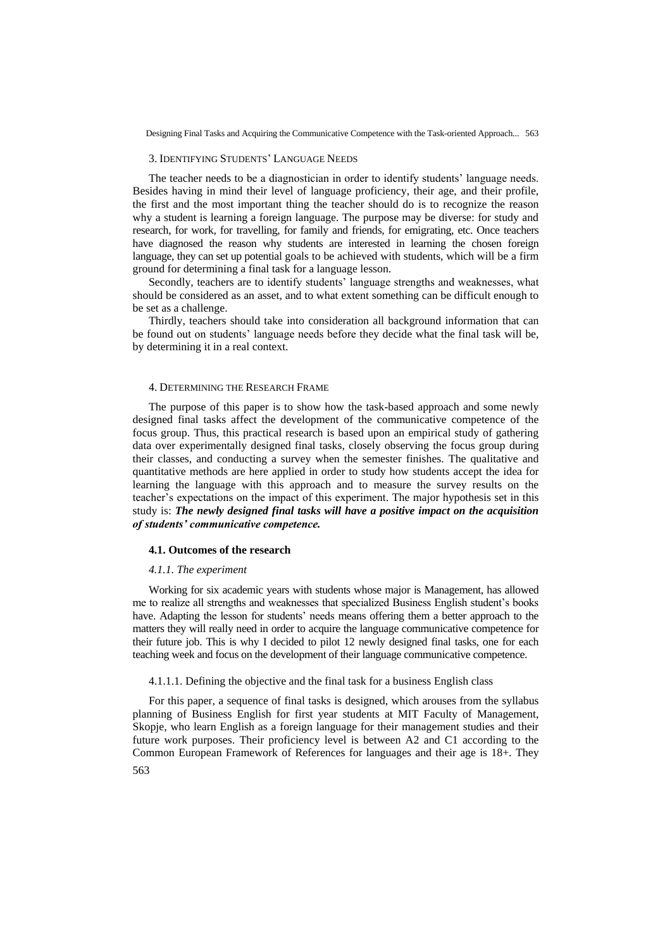#### 3. IDENTIFYING STUDENTS" LANGUAGE NEEDS

The teacher needs to be a diagnostician in order to identify students' language needs. Besides having in mind their level of language proficiency, their age, and their profile, the first and the most important thing the teacher should do is to recognize the reason why a student is learning a foreign language. The purpose may be diverse: for study and research, for work, for travelling, for family and friends, for emigrating, etc. Once teachers have diagnosed the reason why students are interested in learning the chosen foreign language, they can set up potential goals to be achieved with students, which will be a firm ground for determining a final task for a language lesson.

Secondly, teachers are to identify students' language strengths and weaknesses, what should be considered as an asset, and to what extent something can be difficult enough to be set as a challenge.

Thirdly, teachers should take into consideration all background information that can be found out on students" language needs before they decide what the final task will be, by determining it in a real context.

#### 4. DETERMINING THE RESEARCH FRAME

The purpose of this paper is to show how the task-based approach and some newly designed final tasks affect the development of the communicative competence of the focus group. Thus, this practical research is based upon an empirical study of gathering data over experimentally designed final tasks, closely observing the focus group during their classes, and conducting a survey when the semester finishes. The qualitative and quantitative methods are here applied in order to study how students accept the idea for learning the language with this approach and to measure the survey results on the teacher"s expectations on the impact of this experiment. The major hypothesis set in this study is: *The newly designed final tasks will have a positive impact on the acquisition of students' communicative competence.*

#### **4.1. Outcomes of the research**

#### *4.1.1. The experiment*

Working for six academic years with students whose major is Management, has allowed me to realize all strengths and weaknesses that specialized Business English student"s books have. Adapting the lesson for students' needs means offering them a better approach to the matters they will really need in order to acquire the language communicative competence for their future job. This is why I decided to pilot 12 newly designed final tasks, one for each teaching week and focus on the development of their language communicative competence.

### 4.1.1.1. Defining the objective and the final task for a business English class

For this paper, a sequence of final tasks is designed, which arouses from the syllabus planning of Business English for first year students at MIT Faculty of Management, Skopje, who learn English as a foreign language for their management studies and their future work purposes. Their proficiency level is between A2 and C1 according to the Common European Framework of References for languages and their age is 18+. They

563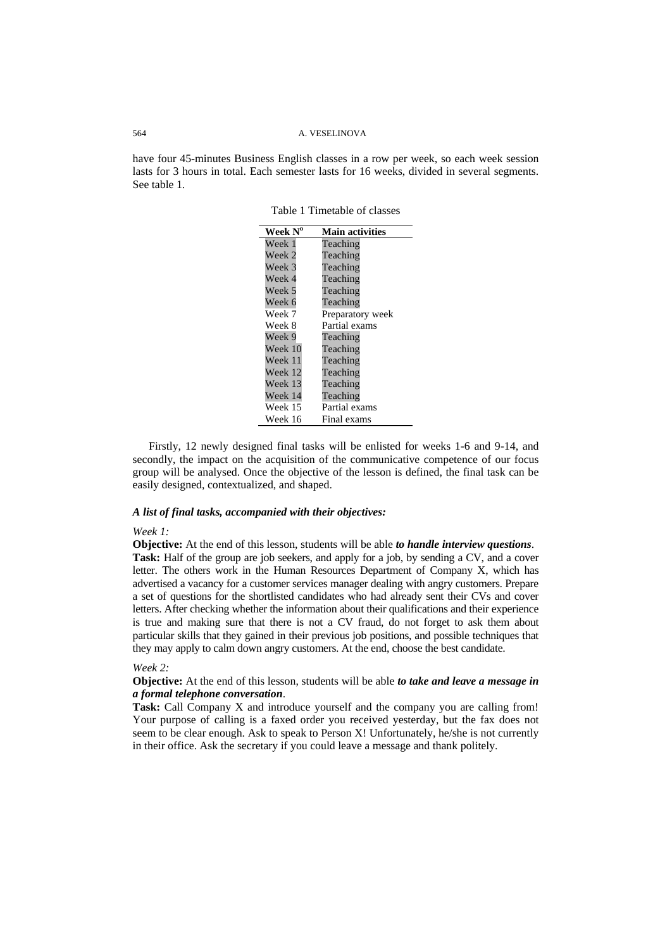have four 45-minutes Business English classes in a row per week, so each week session lasts for 3 hours in total. Each semester lasts for 16 weeks, divided in several segments. See table 1.

| Week $N^{\rm o}$ | <b>Main activities</b> |
|------------------|------------------------|
| Week 1           | Teaching               |
| Week 2           | Teaching               |
| Week 3           | Teaching               |
| Week 4           | Teaching               |
| Week 5           | Teaching               |
| Week 6           | Teaching               |
| Week 7           | Preparatory week       |
| Week 8           | Partial exams          |
| Week 9           | Teaching               |
| Week 10          | Teaching               |
| Week 11          | Teaching               |
| Week 12          | Teaching               |
| Week 13          | Teaching               |
| Week 14          | Teaching               |
| Week 15          | Partial exams          |
| Week 16          | Final exams            |

Table 1 Timetable of classes

Firstly, 12 newly designed final tasks will be enlisted for weeks 1-6 and 9-14, and secondly, the impact on the acquisition of the communicative competence of our focus group will be analysed. Once the objective of the lesson is defined, the final task can be easily designed, contextualized, and shaped.

# *A list of final tasks, accompanied with their objectives:*

#### *Week 1:*

**Objective:** At the end of this lesson, students will be able *to handle interview questions*. **Task:** Half of the group are job seekers, and apply for a job, by sending a CV, and a cover letter. The others work in the Human Resources Department of Company X, which has advertised a vacancy for a customer services manager dealing with angry customers. Prepare a set of questions for the shortlisted candidates who had already sent their CVs and cover letters. After checking whether the information about their qualifications and their experience is true and making sure that there is not a CV fraud, do not forget to ask them about particular skills that they gained in their previous job positions, and possible techniques that they may apply to calm down angry customers. At the end, choose the best candidate.

#### *Week 2:*

**Objective:** At the end of this lesson, students will be able *to take and leave a message in a formal telephone conversation*.

**Task:** Call Company X and introduce yourself and the company you are calling from! Your purpose of calling is a faxed order you received yesterday, but the fax does not seem to be clear enough. Ask to speak to Person X! Unfortunately, he/she is not currently in their office. Ask the secretary if you could leave a message and thank politely.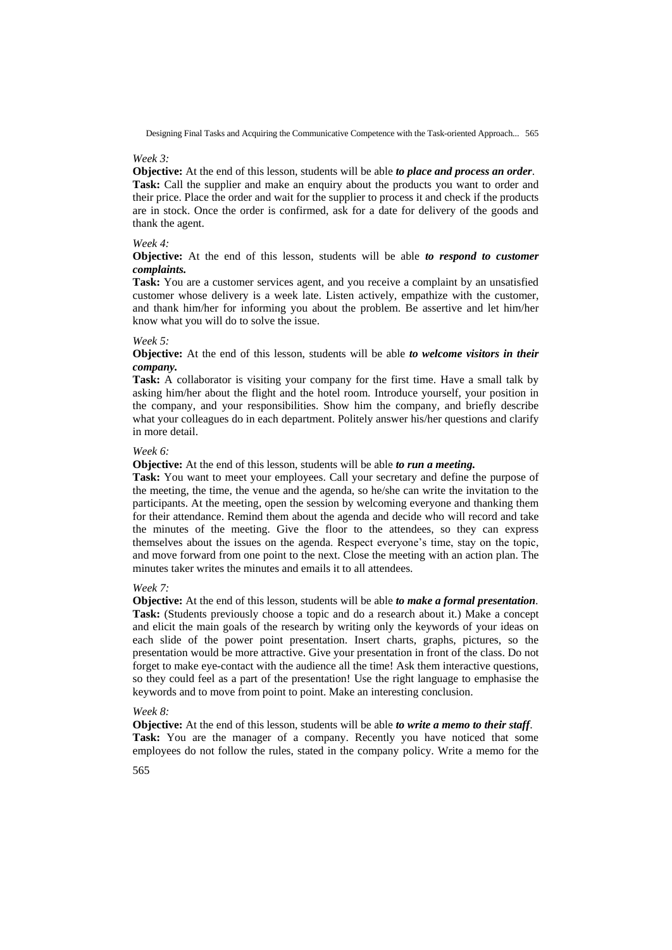#### *Week 3:*

**Objective:** At the end of this lesson, students will be able *to place and process an order*. **Task:** Call the supplier and make an enquiry about the products you want to order and their price. Place the order and wait for the supplier to process it and check if the products are in stock. Once the order is confirmed, ask for a date for delivery of the goods and thank the agent.

# *Week 4:*

# **Objective:** At the end of this lesson, students will be able *to respond to customer complaints.*

**Task:** You are a customer services agent, and you receive a complaint by an unsatisfied customer whose delivery is a week late. Listen actively, empathize with the customer, and thank him/her for informing you about the problem. Be assertive and let him/her know what you will do to solve the issue.

### *Week 5:*

**Objective:** At the end of this lesson, students will be able *to welcome visitors in their company.*

**Task:** A collaborator is visiting your company for the first time. Have a small talk by asking him/her about the flight and the hotel room. Introduce yourself, your position in the company, and your responsibilities. Show him the company, and briefly describe what your colleagues do in each department. Politely answer his/her questions and clarify in more detail.

# *Week 6:*

**Objective:** At the end of this lesson, students will be able *to run a meeting.*

**Task:** You want to meet your employees. Call your secretary and define the purpose of the meeting, the time, the venue and the agenda, so he/she can write the invitation to the participants. At the meeting, open the session by welcoming everyone and thanking them for their attendance. Remind them about the agenda and decide who will record and take the minutes of the meeting. Give the floor to the attendees, so they can express themselves about the issues on the agenda. Respect everyone"s time, stay on the topic, and move forward from one point to the next. Close the meeting with an action plan. The minutes taker writes the minutes and emails it to all attendees.

#### *Week 7:*

**Objective:** At the end of this lesson, students will be able *to make a formal presentation*. **Task:** (Students previously choose a topic and do a research about it.) Make a concept and elicit the main goals of the research by writing only the keywords of your ideas on each slide of the power point presentation. Insert charts, graphs, pictures, so the presentation would be more attractive. Give your presentation in front of the class. Do not forget to make eye-contact with the audience all the time! Ask them interactive questions, so they could feel as a part of the presentation! Use the right language to emphasise the keywords and to move from point to point. Make an interesting conclusion.

#### *Week 8:*

**Objective:** At the end of this lesson, students will be able *to write a memo to their staff*. **Task:** You are the manager of a company. Recently you have noticed that some employees do not follow the rules, stated in the company policy. Write a memo for the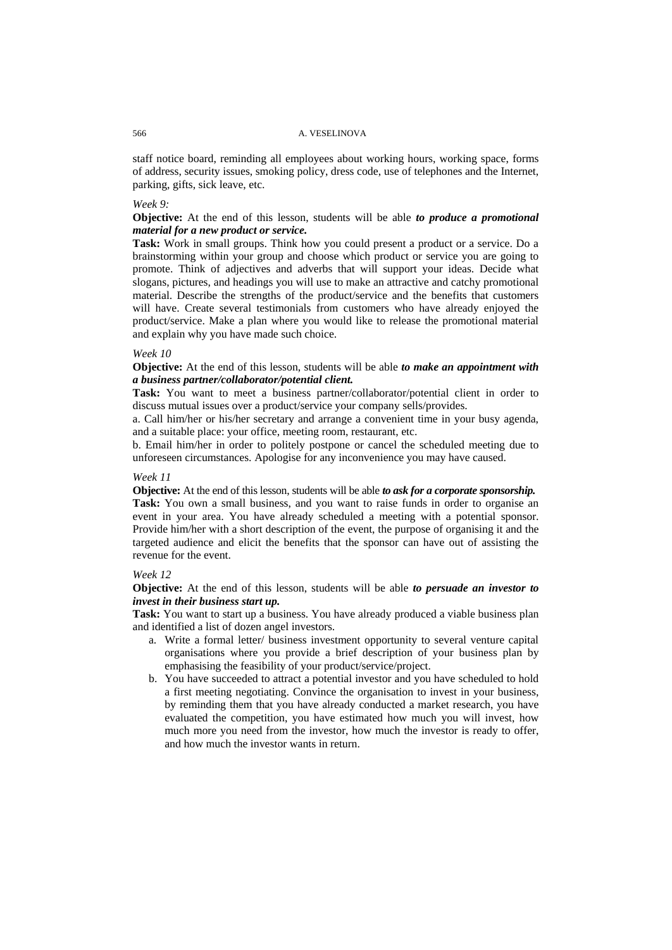staff notice board, reminding all employees about working hours, working space, forms of address, security issues, smoking policy, dress code, use of telephones and the Internet, parking, gifts, sick leave, etc.

# *Week 9:*

**Objective:** At the end of this lesson, students will be able *to produce a promotional material for a new product or service.*

**Task:** Work in small groups. Think how you could present a product or a service. Do a brainstorming within your group and choose which product or service you are going to promote. Think of adjectives and adverbs that will support your ideas. Decide what slogans, pictures, and headings you will use to make an attractive and catchy promotional material. Describe the strengths of the product/service and the benefits that customers will have. Create several testimonials from customers who have already enjoyed the product/service. Make a plan where you would like to release the promotional material and explain why you have made such choice.

#### *Week 10*

**Objective:** At the end of this lesson, students will be able *to make an appointment with a business partner/collaborator/potential client.*

**Task:** You want to meet a business partner/collaborator/potential client in order to discuss mutual issues over a product/service your company sells/provides.

a. Call him/her or his/her secretary and arrange a convenient time in your busy agenda, and a suitable place: your office, meeting room, restaurant, etc.

b. Email him/her in order to politely postpone or cancel the scheduled meeting due to unforeseen circumstances. Apologise for any inconvenience you may have caused.

#### *Week 11*

**Objective:** At the end of this lesson, students will be able *to ask for a corporate sponsorship.* **Task:** You own a small business, and you want to raise funds in order to organise an event in your area. You have already scheduled a meeting with a potential sponsor. Provide him/her with a short description of the event, the purpose of organising it and the targeted audience and elicit the benefits that the sponsor can have out of assisting the revenue for the event.

### *Week 12*

**Objective:** At the end of this lesson, students will be able *to persuade an investor to invest in their business start up.*

**Task:** You want to start up a business. You have already produced a viable business plan and identified a list of dozen angel investors.

- a. Write a formal letter/ business investment opportunity to several venture capital organisations where you provide a brief description of your business plan by emphasising the feasibility of your product/service/project.
- b. You have succeeded to attract a potential investor and you have scheduled to hold a first meeting negotiating. Convince the organisation to invest in your business, by reminding them that you have already conducted a market research, you have evaluated the competition, you have estimated how much you will invest, how much more you need from the investor, how much the investor is ready to offer, and how much the investor wants in return.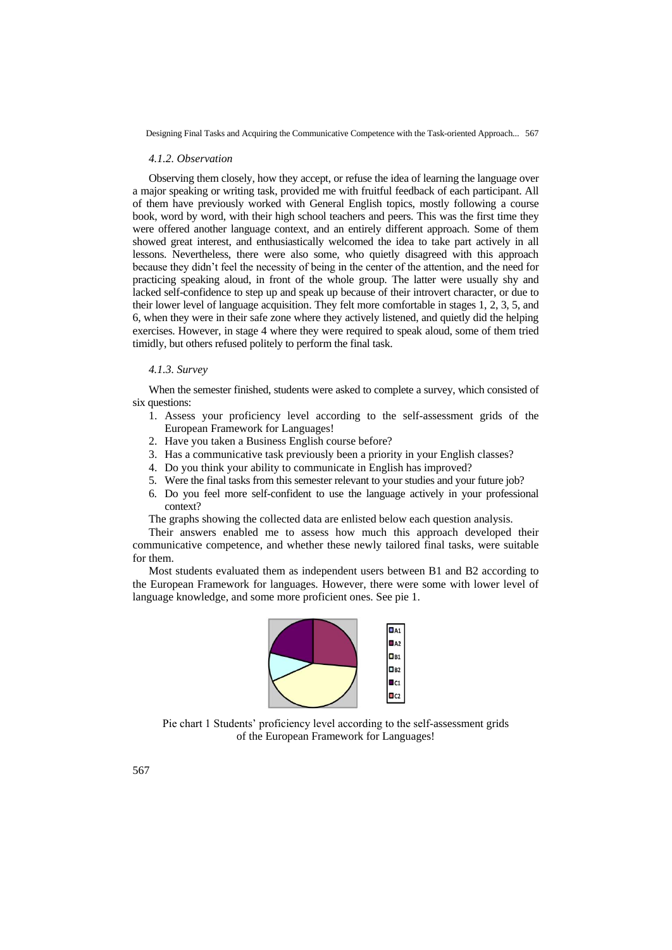#### *4.1.2. Observation*

Observing them closely, how they accept, or refuse the idea of learning the language over a major speaking or writing task, provided me with fruitful feedback of each participant. All of them have previously worked with General English topics, mostly following a course book, word by word, with their high school teachers and peers. This was the first time they were offered another language context, and an entirely different approach. Some of them showed great interest, and enthusiastically welcomed the idea to take part actively in all lessons. Nevertheless, there were also some, who quietly disagreed with this approach because they didn"t feel the necessity of being in the center of the attention, and the need for practicing speaking aloud, in front of the whole group. The latter were usually shy and lacked self-confidence to step up and speak up because of their introvert character, or due to their lower level of language acquisition. They felt more comfortable in stages 1, 2, 3, 5, and 6, when they were in their safe zone where they actively listened, and quietly did the helping exercises. However, in stage 4 where they were required to speak aloud, some of them tried timidly, but others refused politely to perform the final task.

#### *4.1.3. Survey*

When the semester finished, students were asked to complete a survey, which consisted of six questions:

- 1. Assess your proficiency level according to the self-assessment grids of the European Framework for Languages!
- 2. Have you taken a Business English course before?
- 3. Has a communicative task previously been a priority in your English classes?
- 4. Do you think your ability to communicate in English has improved?
- 5. Were the final tasks from this semester relevant to your studies and your future job?
- 6. Do you feel more self-confident to use the language actively in your professional context?

The graphs showing the collected data are enlisted below each question analysis.

Their answers enabled me to assess how much this approach developed their communicative competence, and whether these newly tailored final tasks, were suitable for them.

Most students evaluated them as independent users between B1 and B2 according to the European Framework for languages. However, there were some with lower level of language knowledge, and some more proficient ones. See pie 1.



Pie chart 1 Students" proficiency level according to the self-assessment grids of the European Framework for Languages!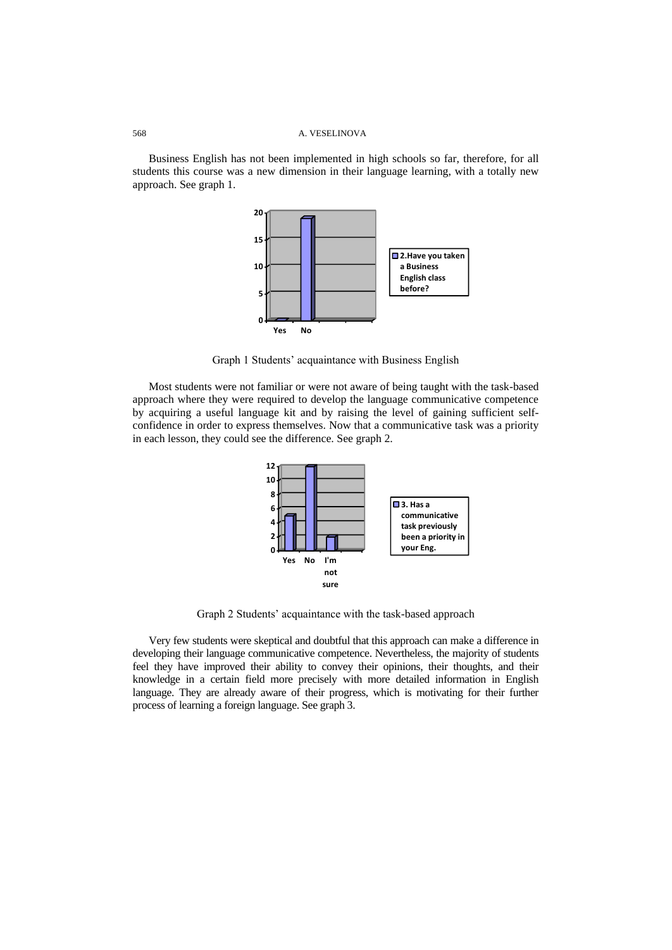Business English has not been implemented in high schools so far, therefore, for all students this course was a new dimension in their language learning, with a totally new approach. See graph 1.



Graph 1 Students" acquaintance with Business English

Most students were not familiar or were not aware of being taught with the task-based approach where they were required to develop the language communicative competence by acquiring a useful language kit and by raising the level of gaining sufficient selfconfidence in order to express themselves. Now that a communicative task was a priority in each lesson, they could see the difference. See graph 2.



Graph 2 Students" acquaintance with the task-based approach

Very few students were skeptical and doubtful that this approach can make a difference in developing their language communicative competence. Nevertheless, the majority of students feel they have improved their ability to convey their opinions, their thoughts, and their knowledge in a certain field more precisely with more detailed information in English language. They are already aware of their progress, which is motivating for their further process of learning a foreign language. See graph 3.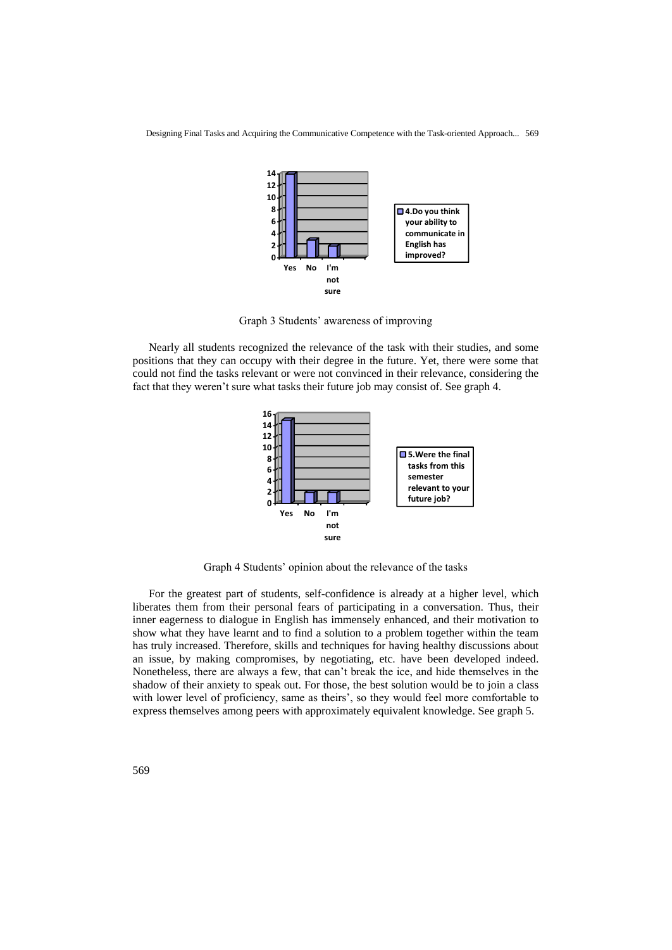

Graph 3 Students" awareness of improving

Nearly all students recognized the relevance of the task with their studies, and some positions that they can occupy with their degree in the future. Yet, there were some that could not find the tasks relevant or were not convinced in their relevance, considering the fact that they weren"t sure what tasks their future job may consist of. See graph 4.



Graph 4 Students" opinion about the relevance of the tasks

For the greatest part of students, self-confidence is already at a higher level, which liberates them from their personal fears of participating in a conversation. Thus, their inner eagerness to dialogue in English has immensely enhanced, and their motivation to show what they have learnt and to find a solution to a problem together within the team has truly increased. Therefore, skills and techniques for having healthy discussions about an issue, by making compromises, by negotiating, etc. have been developed indeed. Nonetheless, there are always a few, that can"t break the ice, and hide themselves in the shadow of their anxiety to speak out. For those, the best solution would be to join a class with lower level of proficiency, same as theirs', so they would feel more comfortable to express themselves among peers with approximately equivalent knowledge. See graph 5.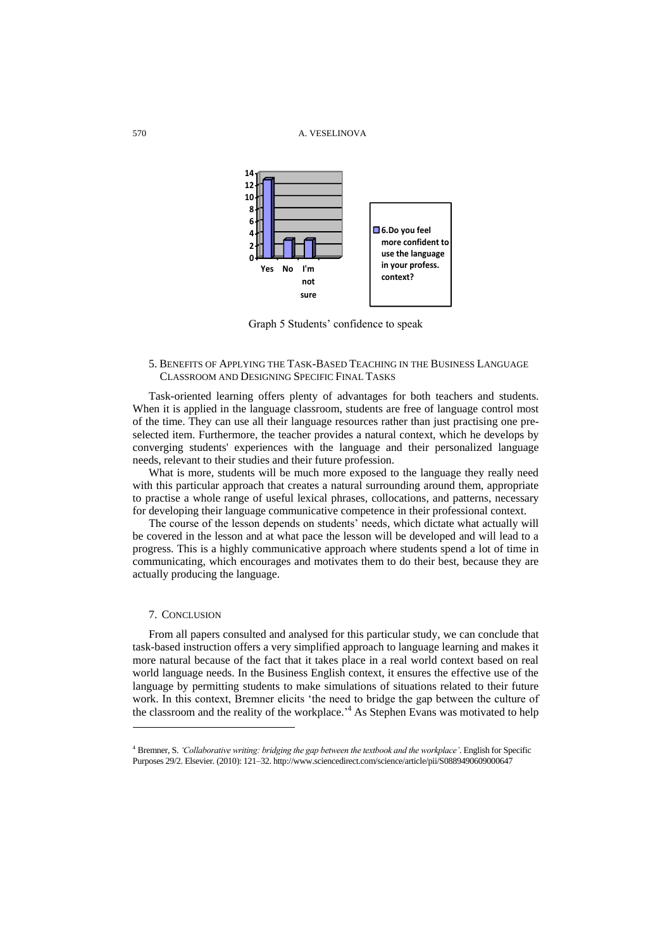

Graph 5 Students' confidence to speak

# 5. BENEFITS OF APPLYING THE TASK-BASED TEACHING IN THE BUSINESS LANGUAGE CLASSROOM AND DESIGNING SPECIFIC FINAL TASKS

Task-oriented learning offers plenty of advantages for both teachers and students. When it is applied in the language classroom, students are free of language control most of the time. They can use all their language resources rather than just practising one preselected item. Furthermore, the teacher provides a natural context, which he develops by converging students' experiences with the language and their personalized language needs, relevant to their studies and their future profession.

What is more, students will be much more exposed to the language they really need with this particular approach that creates a natural surrounding around them, appropriate to practise a whole range of useful lexical phrases, collocations, and patterns, necessary for developing their language communicative competence in their professional context.

The course of the lesson depends on students' needs, which dictate what actually will be covered in the lesson and at what pace the lesson will be developed and will lead to a progress. This is a highly communicative approach where students spend a lot of time in communicating, which encourages and motivates them to do their best, because they are actually producing the language.

# 7. CONCLUSION

l

From all papers consulted and analysed for this particular study, we can conclude that task-based instruction offers a very simplified approach to language learning and makes it more natural because of the fact that it takes place in a real world context based on real world language needs. In the Business English context, it ensures the effective use of the language by permitting students to make simulations of situations related to their future work. In this context, Bremner elicits "the need to bridge the gap between the culture of the classroom and the reality of the workplace.<sup>4</sup> As Stephen Evans was motivated to help

<sup>4</sup> Bremner, S. *'Collaborative writing: bridging the gap between the textbook and the workplace'*. English for Specific Purposes 29/2. Elsevier. (2010): 121–32. <http://www.sciencedirect.com/science/article/pii/S0889490609000647>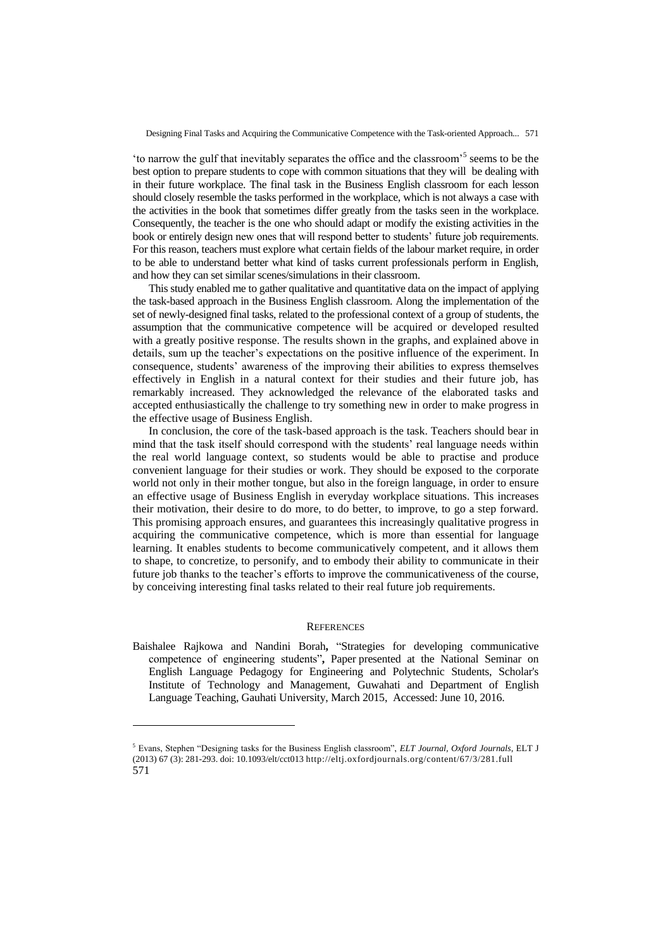'to narrow the gulf that inevitably separates the office and the classroom<sup>5</sup> seems to be the best option to prepare students to cope with common situations that they will be dealing with in their future workplace. The final task in the Business English classroom for each lesson should closely resemble the tasks performed in the workplace, which is not always a case with the activities in the book that sometimes differ greatly from the tasks seen in the workplace. Consequently, the teacher is the one who should adapt or modify the existing activities in the book or entirely design new ones that will respond better to students" future job requirements. For this reason, teachers must explore what certain fields of the labour market require, in order to be able to understand better what kind of tasks current professionals perform in English, and how they can set similar scenes/simulations in their classroom.

This study enabled me to gather qualitative and quantitative data on the impact of applying the task-based approach in the Business English classroom. Along the implementation of the set of newly-designed final tasks, related to the professional context of a group of students, the assumption that the communicative competence will be acquired or developed resulted with a greatly positive response. The results shown in the graphs, and explained above in details, sum up the teacher"s expectations on the positive influence of the experiment. In consequence, students" awareness of the improving their abilities to express themselves effectively in English in a natural context for their studies and their future job, has remarkably increased. They acknowledged the relevance of the elaborated tasks and accepted enthusiastically the challenge to try something new in order to make progress in the effective usage of Business English.

In conclusion, the core of the task-based approach is the task. Teachers should bear in mind that the task itself should correspond with the students" real language needs within the real world language context, so students would be able to practise and produce convenient language for their studies or work. They should be exposed to the corporate world not only in their mother tongue, but also in the foreign language, in order to ensure an effective usage of Business English in everyday workplace situations. This increases their motivation, their desire to do more, to do better, to improve, to go a step forward. This promising approach ensures, and guarantees this increasingly qualitative progress in acquiring the communicative competence, which is more than essential for language learning. It enables students to become communicatively competent, and it allows them to shape, to concretize, to personify, and to embody their ability to communicate in their future job thanks to the teacher"s efforts to improve the communicativeness of the course, by conceiving interesting final tasks related to their real future job requirements.

#### **REFERENCES**

Baishalee Rajkowa and Nandini Borah**,** "Strategies for developing communicative competence of engineering students"**,** Paper presented at the National Seminar on English Language Pedagogy for Engineering and Polytechnic Students, Scholar's Institute of Technology and Management, Guwahati and Department of English Language Teaching, Gauhati University, March 2015, Accessed: June 10, 2016.

l

<sup>571</sup> <sup>5</sup> Evans, Stephen "Designing tasks for the Business English classroom", *ELT Journal, Oxford Journals*, ELT J (2013) 67 (3): 281-293. doi: 10.1093/elt/cct01[3 http://eltj.oxfordjournals.org/content/67/3/281.full](http://eltj.oxfordjournals.org/content/67/3/281.full)